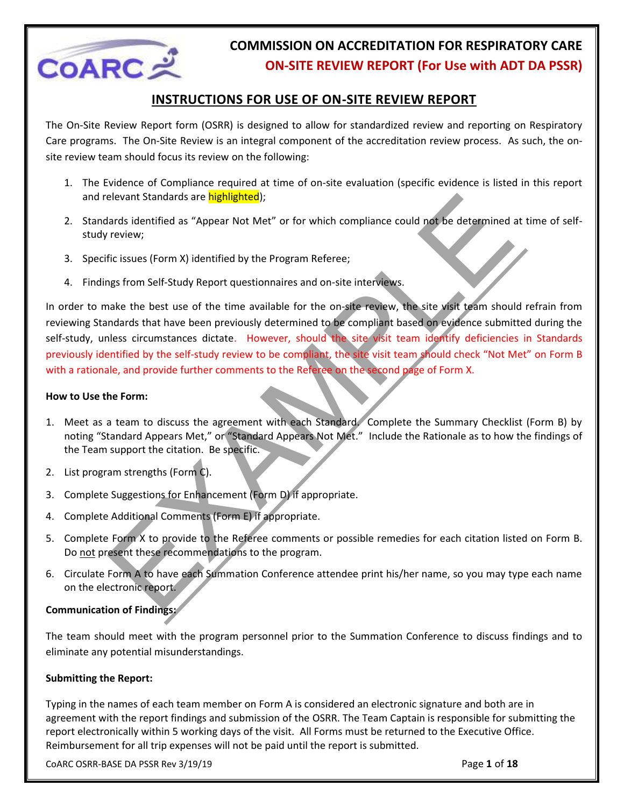

#### **INSTRUCTIONS FOR USE OF ON-SITE REVIEW REPORT**

The On-Site Review Report form (OSRR) is designed to allow for standardized review and reporting on Respiratory Care programs. The On-Site Review is an integral component of the accreditation review process. As such, the onsite review team should focus its review on the following:

- 1. The Evidence of Compliance required at time of on-site evaluation (specific evidence is listed in this report and relevant Standards are **highlighted**);
- 2. Standards identified as "Appear Not Met" or for which compliance could not be determined at time of selfstudy review;
- 3. Specific issues (Form X) identified by the Program Referee;
- 4. Findings from Self-Study Report questionnaires and on-site interviews.

elevant Standards are **highlighted**):<br>Tards identified as "Appear Not Met" or for which compliance could not be determined in<br>Terview;<br>The issues (Form X) identified by the Program Referee;<br>The issues (Form X) identified b In order to make the best use of the time available for the on-site review, the site visit team should refrain from reviewing Standards that have been previously determined to be compliant based on evidence submitted during the self-study, unless circumstances dictate. However, should the site visit team identify deficiencies in Standards previously identified by the self-study review to be compliant, the site visit team should check "Not Met" on Form B with a rationale, and provide further comments to the Referee on the second page of Form X.

#### **How to Use the Form:**

- 1. Meet as a team to discuss the agreement with each Standard. Complete the Summary Checklist (Form B) by noting "Standard Appears Met," or "Standard Appears Not Met." Include the Rationale as to how the findings of the Team support the citation. Be specific.
- 2. List program strengths (Form C).
- 3. Complete Suggestions for Enhancement (Form D) if appropriate.
- 4. Complete Additional Comments (Form E) if appropriate.
- 5. Complete Form X to provide to the Referee comments or possible remedies for each citation listed on Form B. Do not present these recommendations to the program.
- 6. Circulate Form A to have each Summation Conference attendee print his/her name, so you may type each name on the electronic report.

#### **Communication of Findings:**

The team should meet with the program personnel prior to the Summation Conference to discuss findings and to eliminate any potential misunderstandings.

#### **Submitting the Report:**

Typing in the names of each team member on Form A is considered an electronic signature and both are in agreement with the report findings and submission of the OSRR. The Team Captain is responsible for submitting the report electronically within 5 working days of the visit. All Forms must be returned to the Executive Office. Reimbursement for all trip expenses will not be paid until the report is submitted.

CoARC OSRR-BASE DA PSSR Rev 3/19/19 Page **1** of **18**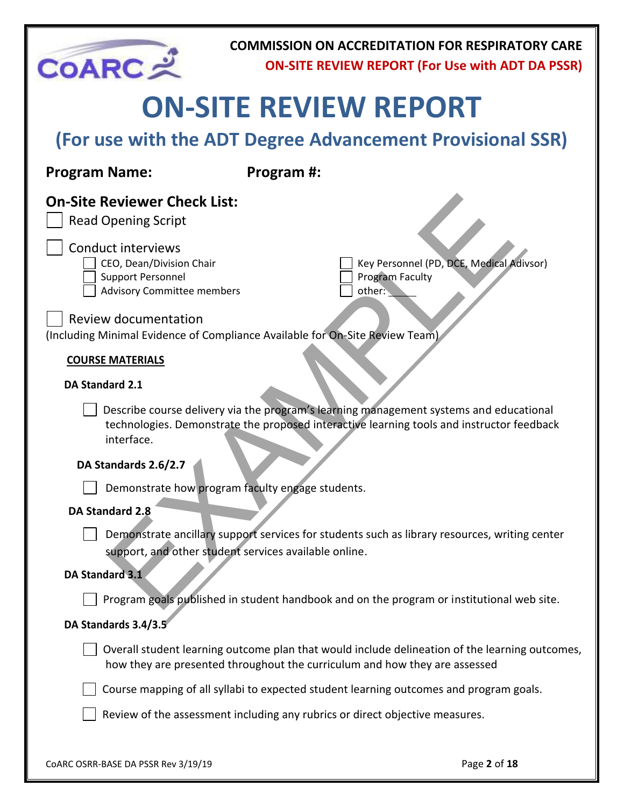

# **ON-SITE REVIEW REPORT**

| (For use with the ADT Degree Advancement Provisional SSR) |  |  |  |  |
|-----------------------------------------------------------|--|--|--|--|
|-----------------------------------------------------------|--|--|--|--|

| <b>Program Name:</b>                                                                                                   | Program #:                                                                                                                                                                          |
|------------------------------------------------------------------------------------------------------------------------|-------------------------------------------------------------------------------------------------------------------------------------------------------------------------------------|
| <b>On-Site Reviewer Check List:</b><br><b>Read Opening Script</b>                                                      |                                                                                                                                                                                     |
| <b>Conduct interviews</b><br>CEO, Dean/Division Chair<br><b>Support Personnel</b><br><b>Advisory Committee members</b> | Key Personnel (PD, DCE, Medical Adivsor)<br><b>Program Faculty</b><br>other:                                                                                                        |
| <b>Review documentation</b>                                                                                            | (Including Minimal Evidence of Compliance Available for On-Site Review Team)                                                                                                        |
| <b>COURSE MATERIALS</b>                                                                                                |                                                                                                                                                                                     |
| <b>DA Standard 2.1</b>                                                                                                 |                                                                                                                                                                                     |
| interface.                                                                                                             | Describe course delivery via the program's learning management systems and educational<br>technologies. Demonstrate the proposed interactive learning tools and instructor feedback |
| DA Standards 2.6/2.7                                                                                                   |                                                                                                                                                                                     |
|                                                                                                                        | Demonstrate how program faculty engage students.                                                                                                                                    |
| <b>DA Standard 2.8</b>                                                                                                 |                                                                                                                                                                                     |
|                                                                                                                        | Demonstrate ancillary support services for students such as library resources, writing center<br>support, and other student services available online.                              |
| DA Standard 3.1                                                                                                        |                                                                                                                                                                                     |
|                                                                                                                        | Program goals published in student handbook and on the program or institutional web site.                                                                                           |

#### **DA Standards 3.4/3.5**

 $\Box$  Overall student learning outcome plan that would include delineation of the learning outcomes, how they are presented throughout the curriculum and how they are assessed

Course mapping of all syllabi to expected student learning outcomes and program goals.

Review of the assessment including any rubrics or direct objective measures.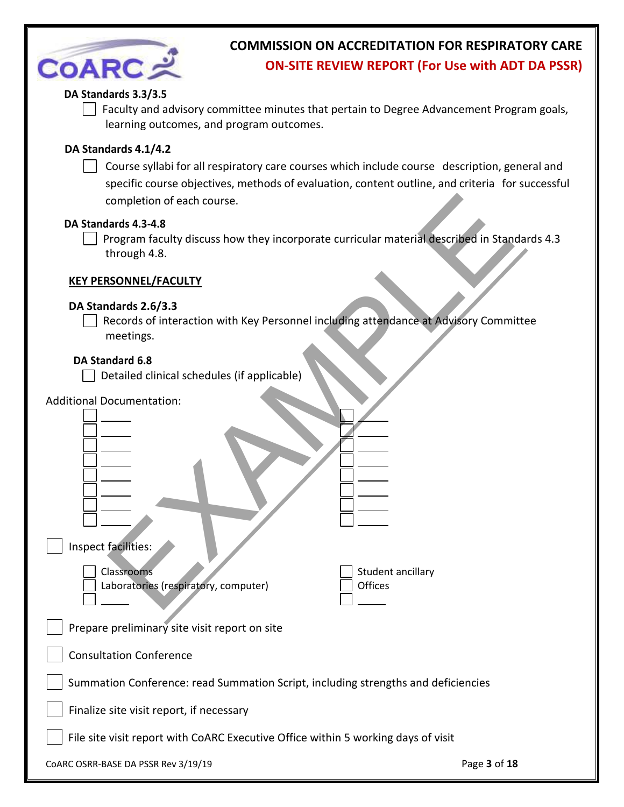| <b>COARC え</b>                                                   | <b>COMMISSION ON ACCREDITATION FOR RESPIRATORY CARE</b><br><b>ON-SITE REVIEW REPORT (For Use with ADT DA PSSR)</b>                                                                               |
|------------------------------------------------------------------|--------------------------------------------------------------------------------------------------------------------------------------------------------------------------------------------------|
| DA Standards 3.3/3.5<br>learning outcomes, and program outcomes. | Faculty and advisory committee minutes that pertain to Degree Advancement Program goals,                                                                                                         |
| DA Standards 4.1/4.2<br>completion of each course.               | Course syllabi for all respiratory care courses which include course description, general and<br>specific course objectives, methods of evaluation, content outline, and criteria for successful |
| DA Standards 4.3-4.8<br>through 4.8.                             | Program faculty discuss how they incorporate curricular material described in Standards 4.3                                                                                                      |
| <b>KEY PERSONNEL/FACULTY</b>                                     |                                                                                                                                                                                                  |
| DA Standards 2.6/3.3<br>meetings.                                | Records of interaction with Key Personnel including attendance at Advisory Committee                                                                                                             |
| DA Standard 6.8<br>Detailed clinical schedules (if applicable)   |                                                                                                                                                                                                  |
| <b>Additional Documentation:</b><br>Inspect facilities:          |                                                                                                                                                                                                  |
| Classrooms<br>Laboratories (respiratory, computer)               | Student ancillary<br>Offices                                                                                                                                                                     |
| Prepare preliminary site visit report on site                    |                                                                                                                                                                                                  |
| <b>Consultation Conference</b>                                   |                                                                                                                                                                                                  |
|                                                                  | Summation Conference: read Summation Script, including strengths and deficiencies                                                                                                                |
| Finalize site visit report, if necessary                         |                                                                                                                                                                                                  |
|                                                                  | File site visit report with CoARC Executive Office within 5 working days of visit                                                                                                                |
| CoARC OSRR-BASE DA PSSR Rev 3/19/19                              | Page 3 of 18                                                                                                                                                                                     |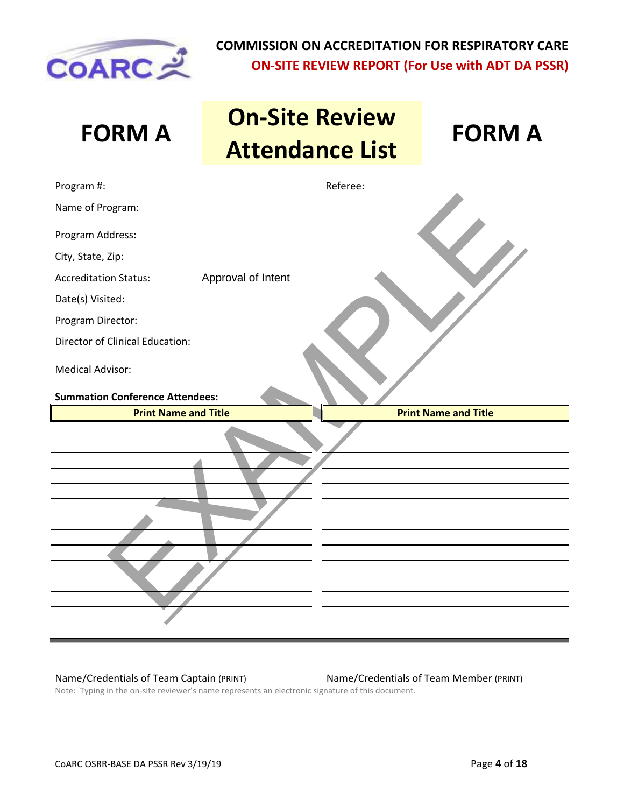

| <b>FORM A</b>                                                     | <b>On-Site Review</b><br><b>Attendance List</b> | <b>FORM A</b>               |
|-------------------------------------------------------------------|-------------------------------------------------|-----------------------------|
| Program #:                                                        | Referee:                                        |                             |
| Name of Program:                                                  |                                                 |                             |
| Program Address:                                                  |                                                 |                             |
| City, State, Zip:                                                 |                                                 |                             |
| <b>Accreditation Status:</b>                                      | Approval of Intent                              |                             |
| Date(s) Visited:                                                  |                                                 |                             |
| Program Director:                                                 |                                                 |                             |
| Director of Clinical Education:                                   |                                                 |                             |
| <b>Medical Advisor:</b><br><b>Summation Conference Attendees:</b> |                                                 |                             |
| <b>Print Name and Title</b>                                       |                                                 | <b>Print Name and Title</b> |
|                                                                   |                                                 |                             |

Name/Credentials of Team Captain (PRINT) Name/Credentials of Team Member (PRINT)

Note: Typing in the on-site reviewer's name represents an electronic signature of this document.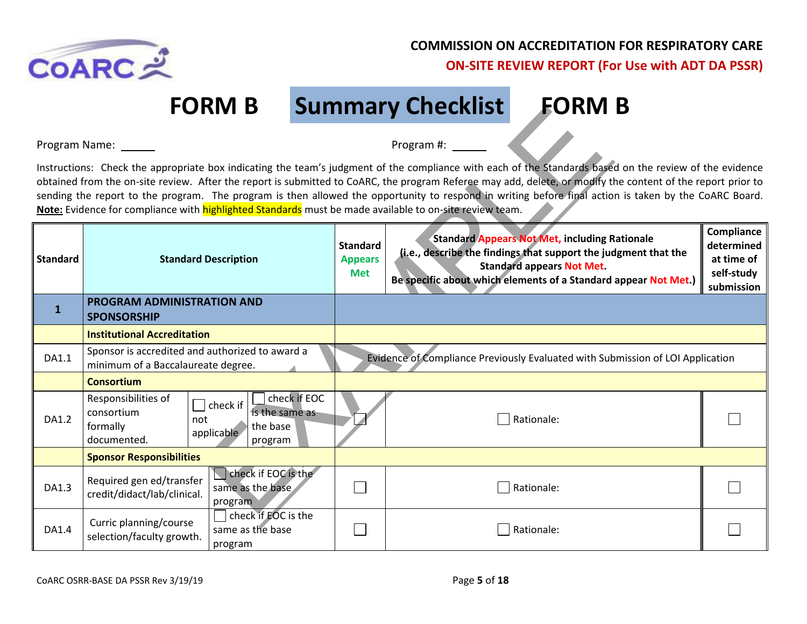

**FORM B Summary Checklist FORM B**

|                 | FURIVI D                                                                                                                                                      |                                                 | <b>Summary Unecklist</b><br>EURIVI D                                                                                                                                                                                                                                                                                                                                                                                                                                            |                                                                    |
|-----------------|---------------------------------------------------------------------------------------------------------------------------------------------------------------|-------------------------------------------------|---------------------------------------------------------------------------------------------------------------------------------------------------------------------------------------------------------------------------------------------------------------------------------------------------------------------------------------------------------------------------------------------------------------------------------------------------------------------------------|--------------------------------------------------------------------|
| Program Name:   |                                                                                                                                                               |                                                 | Program #:                                                                                                                                                                                                                                                                                                                                                                                                                                                                      |                                                                    |
|                 | Note: Evidence for compliance with highlighted Standards must be made available to on-site review team.                                                       |                                                 | Instructions: Check the appropriate box indicating the team's judgment of the compliance with each of the Standards based on the review of the evidence<br>obtained from the on-site review. After the report is submitted to CoARC, the program Referee may add, delete, or modify the content of the report prior to<br>sending the report to the program. The program is then allowed the opportunity to respond in writing before final action is taken by the CoARC Board. |                                                                    |
| <b>Standard</b> | <b>Standard Description</b>                                                                                                                                   | <b>Standard</b><br><b>Appears</b><br><b>Met</b> | <b>Standard Appears Not Met, including Rationale</b><br>(i.e., describe the findings that support the judgment that the<br><b>Standard appears Not Met.</b><br>Be specific about which elements of a Standard appear Not Met.)                                                                                                                                                                                                                                                  | Compliance<br>determined<br>at time of<br>self-study<br>submission |
| 1               | PROGRAM ADMINISTRATION AND<br><b>SPONSORSHIP</b>                                                                                                              |                                                 |                                                                                                                                                                                                                                                                                                                                                                                                                                                                                 |                                                                    |
|                 | <b>Institutional Accreditation</b>                                                                                                                            |                                                 |                                                                                                                                                                                                                                                                                                                                                                                                                                                                                 |                                                                    |
| DA1.1           | Sponsor is accredited and authorized to award a<br>minimum of a Baccalaureate degree.                                                                         |                                                 | Evidence of Compliance Previously Evaluated with Submission of LOI Application                                                                                                                                                                                                                                                                                                                                                                                                  |                                                                    |
|                 | <b>Consortium</b>                                                                                                                                             |                                                 |                                                                                                                                                                                                                                                                                                                                                                                                                                                                                 |                                                                    |
| DA1.2           | check if EOC<br>Responsibilities of<br>$\Box$ check if<br>consortium<br>is the same as<br>not<br>formally<br>the base<br>applicable<br>documented.<br>program |                                                 | Rationale:                                                                                                                                                                                                                                                                                                                                                                                                                                                                      |                                                                    |
|                 | <b>Sponsor Responsibilities</b>                                                                                                                               |                                                 |                                                                                                                                                                                                                                                                                                                                                                                                                                                                                 |                                                                    |
| DA1.3           | check if EOC is the<br>Required gen ed/transfer<br>same as the base<br>credit/didact/lab/clinical.<br>program                                                 |                                                 | Rationale:                                                                                                                                                                                                                                                                                                                                                                                                                                                                      |                                                                    |
| DA1.4           | check if EOC is the<br>Curric planning/course<br>same as the base<br>selection/faculty growth.<br>program                                                     |                                                 | Rationale:                                                                                                                                                                                                                                                                                                                                                                                                                                                                      |                                                                    |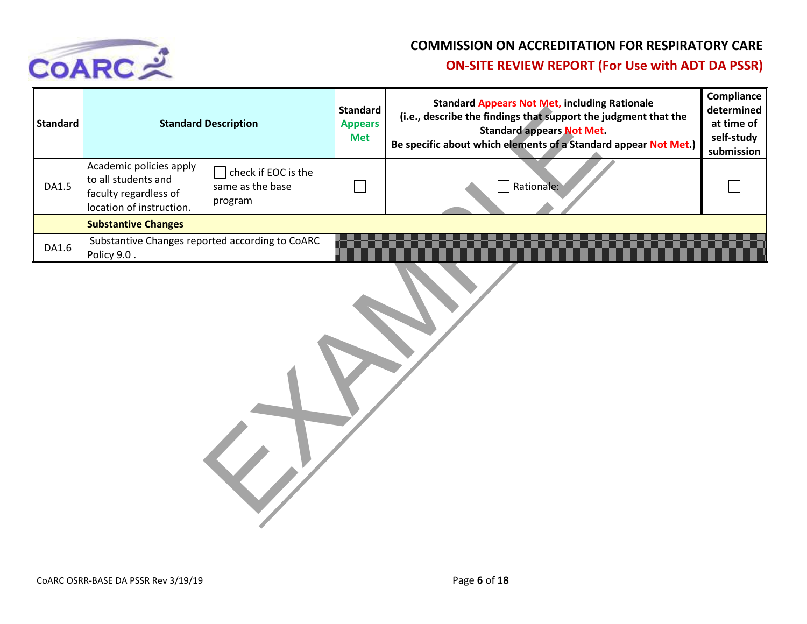

| <b>Standard</b> |                                                                                                     | <b>Standard Description</b>                        | <b>Standard</b><br><b>Appears</b><br><b>Met</b> | <b>Standard Appears Not Met, including Rationale</b><br>(i.e., describe the findings that support the judgment that the<br><b>Standard appears Not Met.</b><br>Be specific about which elements of a Standard appear Not Met.) | Compliance<br>determined<br>at time of<br>self-study<br>submission |
|-----------------|-----------------------------------------------------------------------------------------------------|----------------------------------------------------|-------------------------------------------------|--------------------------------------------------------------------------------------------------------------------------------------------------------------------------------------------------------------------------------|--------------------------------------------------------------------|
| DA1.5           | Academic policies apply<br>to all students and<br>faculty regardless of<br>location of instruction. | check if EOC is the<br>same as the base<br>program |                                                 | Rationale:                                                                                                                                                                                                                     |                                                                    |
|                 | <b>Substantive Changes</b>                                                                          |                                                    |                                                 |                                                                                                                                                                                                                                |                                                                    |
| DA1.6           | Substantive Changes reported according to CoARC<br>Policy 9.0.                                      |                                                    |                                                 |                                                                                                                                                                                                                                |                                                                    |

| <b>Description</b>                                 | <b>Standard</b><br><b>Appears</b><br><b>Met</b> | standard Appears Not McG meldung<br>(i.e., describe the findings that support the<br><b>Standard appears Not Met</b><br>Be specific about which elements of a Standa |
|----------------------------------------------------|-------------------------------------------------|----------------------------------------------------------------------------------------------------------------------------------------------------------------------|
| check if EOC is the<br>same as the base<br>program |                                                 | Rationale:                                                                                                                                                           |
|                                                    |                                                 |                                                                                                                                                                      |
| orted according to CoARC                           |                                                 |                                                                                                                                                                      |
|                                                    |                                                 |                                                                                                                                                                      |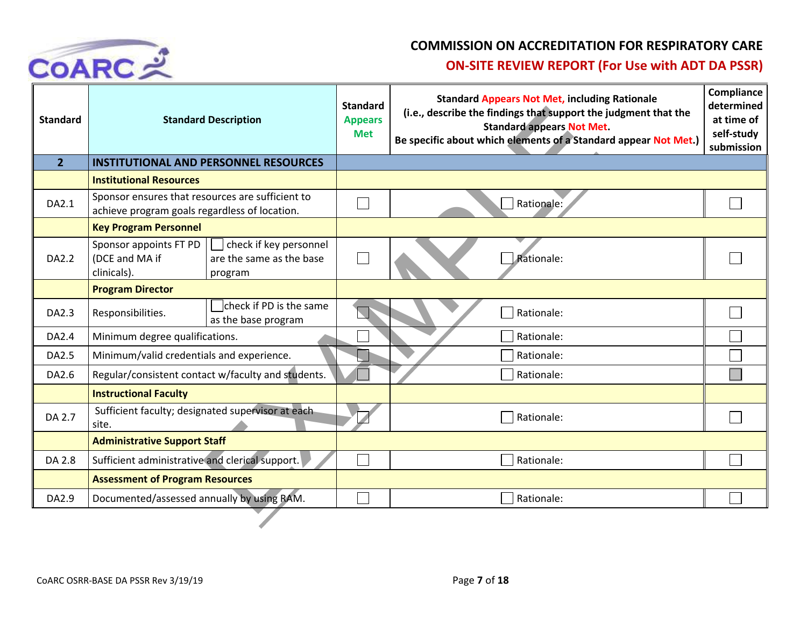

| <b>Standard</b> |                                                                                                   | <b>Standard Description</b>                                   | <b>Standard</b><br><b>Appears</b><br><b>Met</b> | <b>Standard Appears Not Met, including Rationale</b><br>(i.e., describe the findings that support the judgment that the<br><b>Standard appears Not Met.</b><br>Be specific about which elements of a Standard appear Not Met.) |  |
|-----------------|---------------------------------------------------------------------------------------------------|---------------------------------------------------------------|-------------------------------------------------|--------------------------------------------------------------------------------------------------------------------------------------------------------------------------------------------------------------------------------|--|
| 2 <sup>1</sup>  |                                                                                                   | <b>INSTITUTIONAL AND PERSONNEL RESOURCES</b>                  |                                                 |                                                                                                                                                                                                                                |  |
|                 | <b>Institutional Resources</b>                                                                    |                                                               |                                                 |                                                                                                                                                                                                                                |  |
| DA2.1           | Sponsor ensures that resources are sufficient to<br>achieve program goals regardless of location. |                                                               |                                                 | Rationale:                                                                                                                                                                                                                     |  |
|                 | <b>Key Program Personnel</b>                                                                      |                                                               |                                                 |                                                                                                                                                                                                                                |  |
| DA2.2           | Sponsor appoints FT PD<br>(DCE and MA if<br>clinicals).                                           | check if key personnel<br>are the same as the base<br>program |                                                 | Rationale:                                                                                                                                                                                                                     |  |
|                 | <b>Program Director</b>                                                                           |                                                               |                                                 |                                                                                                                                                                                                                                |  |
| DA2.3           | Responsibilities.                                                                                 | check if PD is the same<br>as the base program                |                                                 | Rationale:                                                                                                                                                                                                                     |  |
| DA2.4           | Minimum degree qualifications.                                                                    |                                                               |                                                 | Rationale:                                                                                                                                                                                                                     |  |
| DA2.5           | Minimum/valid credentials and experience.                                                         |                                                               |                                                 | Rationale:                                                                                                                                                                                                                     |  |
| DA2.6           |                                                                                                   | Regular/consistent contact w/faculty and students.            |                                                 | Rationale:                                                                                                                                                                                                                     |  |
|                 | <b>Instructional Faculty</b>                                                                      |                                                               |                                                 |                                                                                                                                                                                                                                |  |
| DA 2.7          | Sufficient faculty; designated supervisor at each<br>site.                                        |                                                               |                                                 | Rationale:                                                                                                                                                                                                                     |  |
|                 | <b>Administrative Support Staff</b>                                                               |                                                               |                                                 |                                                                                                                                                                                                                                |  |
| DA 2.8          | Sufficient administrative and clerical support.                                                   |                                                               |                                                 | Rationale:                                                                                                                                                                                                                     |  |
|                 | <b>Assessment of Program Resources</b>                                                            |                                                               |                                                 |                                                                                                                                                                                                                                |  |
| DA2.9           | Documented/assessed annually by using RAM.                                                        |                                                               |                                                 | Rationale:                                                                                                                                                                                                                     |  |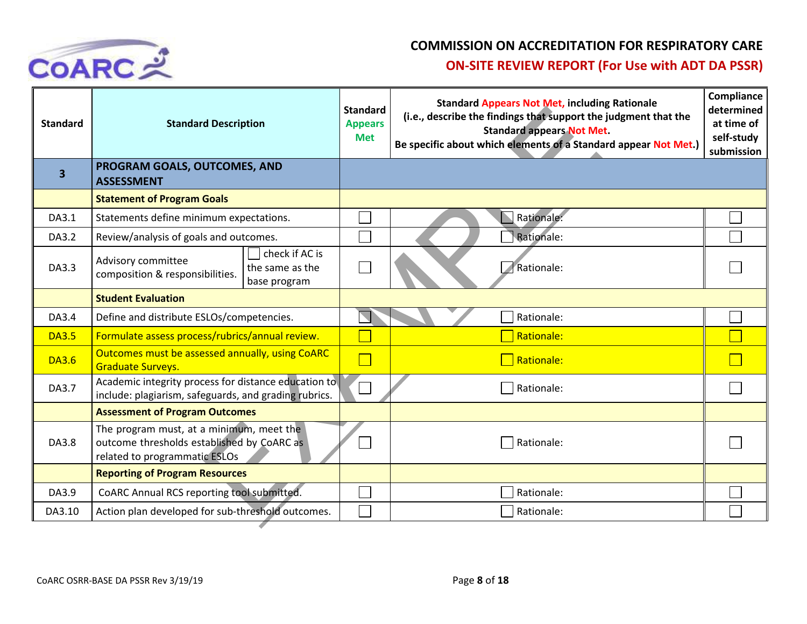

| <b>Standard</b> | <b>Standard Description</b>                                                                                             |        | <b>Standard Appears Not Met, including Rationale</b><br>(i.e., describe the findings that support the judgment that the<br><b>Standard appears Not Met.</b><br>Be specific about which elements of a Standard appear Not Met.) | Compliance<br>determined<br>at time of<br>self-study<br>submission |
|-----------------|-------------------------------------------------------------------------------------------------------------------------|--------|--------------------------------------------------------------------------------------------------------------------------------------------------------------------------------------------------------------------------------|--------------------------------------------------------------------|
| 3               | PROGRAM GOALS, OUTCOMES, AND<br><b>ASSESSMENT</b>                                                                       |        |                                                                                                                                                                                                                                |                                                                    |
|                 | <b>Statement of Program Goals</b>                                                                                       |        |                                                                                                                                                                                                                                |                                                                    |
| DA3.1           | Statements define minimum expectations.                                                                                 |        | Rationale:                                                                                                                                                                                                                     |                                                                    |
| DA3.2           | Review/analysis of goals and outcomes.                                                                                  |        | Rationale:                                                                                                                                                                                                                     |                                                                    |
| DA3.3           | check if AC is<br>Advisory committee<br>the same as the<br>composition & responsibilities.<br>base program              |        | Rationale:                                                                                                                                                                                                                     |                                                                    |
|                 | <b>Student Evaluation</b>                                                                                               |        |                                                                                                                                                                                                                                |                                                                    |
| DA3.4           | Define and distribute ESLOs/competencies.                                                                               |        | Rationale:                                                                                                                                                                                                                     |                                                                    |
| <b>DA3.5</b>    | Formulate assess process/rubrics/annual review.                                                                         |        | Rationale:                                                                                                                                                                                                                     |                                                                    |
| <b>DA3.6</b>    | Outcomes must be assessed annually, using CoARC<br><b>Graduate Surveys.</b>                                             | $\Box$ | Rationale:                                                                                                                                                                                                                     |                                                                    |
| DA3.7           | Academic integrity process for distance education to<br>include: plagiarism, safeguards, and grading rubrics.           |        | Rationale:                                                                                                                                                                                                                     |                                                                    |
|                 | <b>Assessment of Program Outcomes</b>                                                                                   |        |                                                                                                                                                                                                                                |                                                                    |
| DA3.8           | The program must, at a minimum, meet the<br>outcome thresholds established by CoARC as<br>related to programmatic ESLOs |        | Rationale:                                                                                                                                                                                                                     |                                                                    |
|                 | <b>Reporting of Program Resources</b>                                                                                   |        |                                                                                                                                                                                                                                |                                                                    |
| DA3.9           | CoARC Annual RCS reporting tool submitted.                                                                              |        | Rationale:                                                                                                                                                                                                                     |                                                                    |
| DA3.10          | Action plan developed for sub-threshold outcomes.                                                                       |        | Rationale:                                                                                                                                                                                                                     |                                                                    |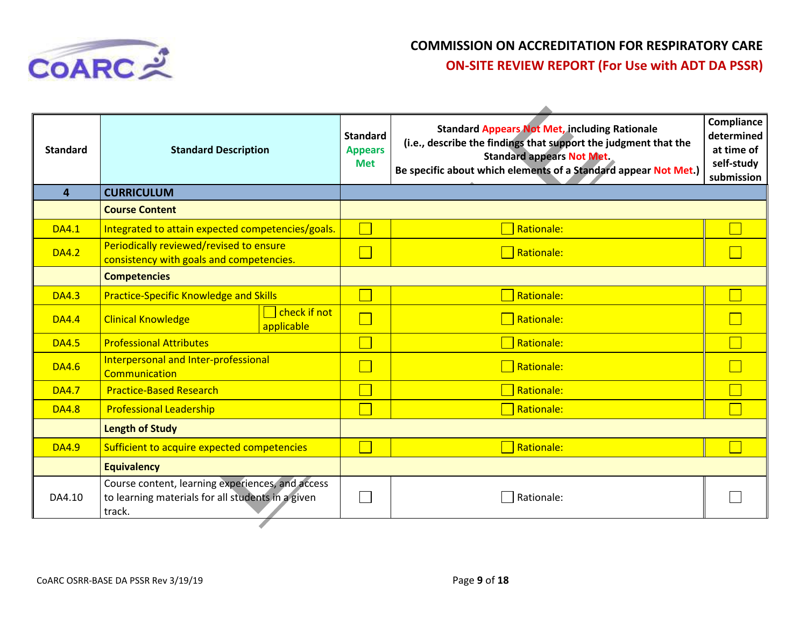

| <b>Standard</b> | <b>Standard Description</b>                                                                                     | <b>Standard</b><br><b>Appears</b><br><b>Met</b> | <b>Standard Appears Not Met, including Rationale</b><br>(i.e., describe the findings that support the judgment that the<br><b>Standard appears Not Met.</b><br>Be specific about which elements of a Standard appear Not Met.) | Compliance<br>determined<br>at time of<br>self-study<br>submission |
|-----------------|-----------------------------------------------------------------------------------------------------------------|-------------------------------------------------|--------------------------------------------------------------------------------------------------------------------------------------------------------------------------------------------------------------------------------|--------------------------------------------------------------------|
| 4               | <b>CURRICULUM</b>                                                                                               |                                                 |                                                                                                                                                                                                                                |                                                                    |
|                 | <b>Course Content</b>                                                                                           |                                                 |                                                                                                                                                                                                                                |                                                                    |
| <b>DA4.1</b>    | Integrated to attain expected competencies/goals.                                                               |                                                 | Rationale:                                                                                                                                                                                                                     |                                                                    |
| <b>DA4.2</b>    | Periodically reviewed/revised to ensure<br>consistency with goals and competencies.                             |                                                 | Rationale:                                                                                                                                                                                                                     |                                                                    |
|                 | <b>Competencies</b>                                                                                             |                                                 |                                                                                                                                                                                                                                |                                                                    |
| <b>DA4.3</b>    | <b>Practice-Specific Knowledge and Skills</b>                                                                   |                                                 | Rationale:                                                                                                                                                                                                                     |                                                                    |
| <b>DA4.4</b>    | check if not<br><b>Clinical Knowledge</b><br>applicable                                                         |                                                 | $\Box$ Rationale:                                                                                                                                                                                                              |                                                                    |
| <b>DA4.5</b>    | <b>Professional Attributes</b>                                                                                  |                                                 | Rationale:                                                                                                                                                                                                                     |                                                                    |
| <b>DA4.6</b>    | Interpersonal and Inter-professional<br>Communication                                                           |                                                 | Rationale:                                                                                                                                                                                                                     |                                                                    |
| <b>DA4.7</b>    | <b>Practice-Based Research</b>                                                                                  |                                                 | Rationale:                                                                                                                                                                                                                     |                                                                    |
| <b>DA4.8</b>    | <b>Professional Leadership</b>                                                                                  |                                                 | $\overline{\phantom{a}}$ Rationale:                                                                                                                                                                                            |                                                                    |
|                 | <b>Length of Study</b>                                                                                          |                                                 |                                                                                                                                                                                                                                |                                                                    |
| <b>DA4.9</b>    | Sufficient to acquire expected competencies                                                                     |                                                 | Rationale:                                                                                                                                                                                                                     |                                                                    |
|                 | <b>Equivalency</b>                                                                                              |                                                 |                                                                                                                                                                                                                                |                                                                    |
| DA4.10          | Course content, learning experiences, and access<br>to learning materials for all students in a given<br>track. |                                                 | Rationale:                                                                                                                                                                                                                     |                                                                    |
|                 |                                                                                                                 |                                                 |                                                                                                                                                                                                                                |                                                                    |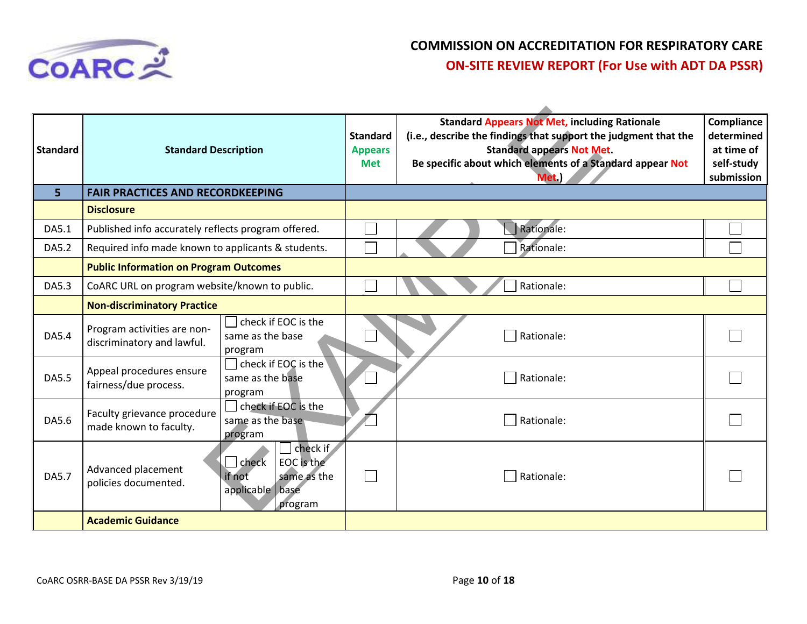

| <b>Standard</b> | <b>Standard Description</b>                               |                                                                                              | <b>Standard</b><br><b>Appears</b><br><b>Met</b> | <b>Standard Appears Not Met, including Rationale</b><br>(i.e., describe the findings that support the judgment that the<br><b>Standard appears Not Met.</b><br>Be specific about which elements of a Standard appear Not<br>Met.) | Compliance<br>determined<br>at time of<br>self-study<br>submission |
|-----------------|-----------------------------------------------------------|----------------------------------------------------------------------------------------------|-------------------------------------------------|-----------------------------------------------------------------------------------------------------------------------------------------------------------------------------------------------------------------------------------|--------------------------------------------------------------------|
| 5 <sup>1</sup>  | <b>FAIR PRACTICES AND RECORDKEEPING</b>                   |                                                                                              |                                                 |                                                                                                                                                                                                                                   |                                                                    |
|                 | <b>Disclosure</b>                                         |                                                                                              |                                                 |                                                                                                                                                                                                                                   |                                                                    |
| DA5.1           | Published info accurately reflects program offered.       |                                                                                              |                                                 | Rationale:                                                                                                                                                                                                                        |                                                                    |
| DA5.2           | Required info made known to applicants & students.        |                                                                                              |                                                 | Rationale:                                                                                                                                                                                                                        |                                                                    |
|                 | <b>Public Information on Program Outcomes</b>             |                                                                                              |                                                 |                                                                                                                                                                                                                                   |                                                                    |
| DA5.3           | CoARC URL on program website/known to public.             |                                                                                              |                                                 | Rationale:                                                                                                                                                                                                                        |                                                                    |
|                 | <b>Non-discriminatory Practice</b>                        |                                                                                              |                                                 |                                                                                                                                                                                                                                   |                                                                    |
| DA5.4           | Program activities are non-<br>discriminatory and lawful. | check if EOC is the<br>same as the base<br>program                                           |                                                 | Rationale:                                                                                                                                                                                                                        |                                                                    |
| DA5.5           | Appeal procedures ensure<br>fairness/due process.         | check if EOC is the<br>same as the base<br>program                                           |                                                 | Rationale:                                                                                                                                                                                                                        |                                                                    |
| DA5.6           | Faculty grievance procedure<br>made known to faculty.     | check if EOC is the<br>same as the base<br>program                                           |                                                 | Rationale:                                                                                                                                                                                                                        |                                                                    |
| <b>DA5.7</b>    | Advanced placement<br>policies documented.                | check if<br>EOC is the<br>$ $ check<br>same as the<br>if not<br>applicable   base<br>program |                                                 | Rationale:                                                                                                                                                                                                                        |                                                                    |
|                 | <b>Academic Guidance</b>                                  |                                                                                              |                                                 |                                                                                                                                                                                                                                   |                                                                    |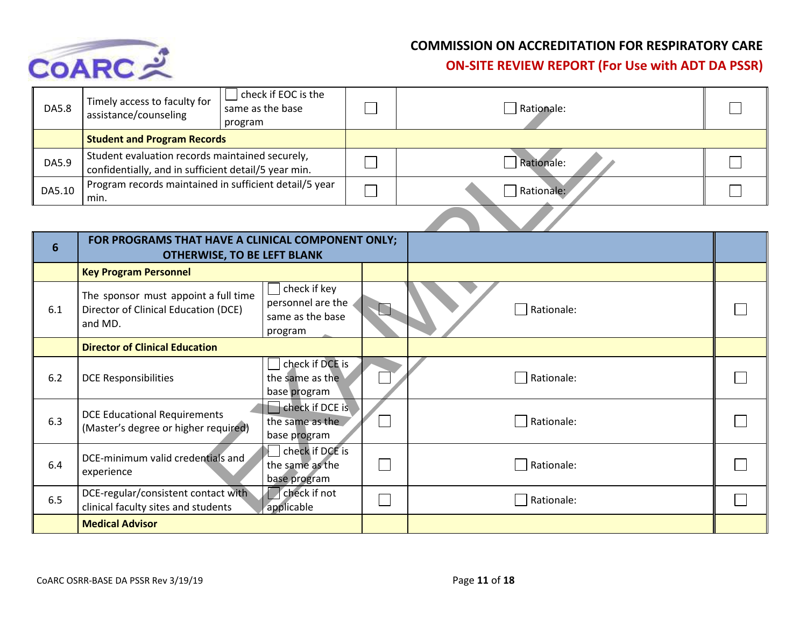

| DA5.8  | Timely access to faculty for<br>assistance/counseling                                                   | check if EOC is the<br>same as the base<br>program | Rationale:        |  |
|--------|---------------------------------------------------------------------------------------------------------|----------------------------------------------------|-------------------|--|
|        | <b>Student and Program Records</b>                                                                      |                                                    |                   |  |
| DA5.9  | Student evaluation records maintained securely,<br>confidentially, and in sufficient detail/5 year min. |                                                    | <b>Rationale:</b> |  |
| DA5.10 | Program records maintained in sufficient detail/5 year<br>min.                                          |                                                    | Rationale:        |  |

| DA5.8  | assistance/counseling                                                                                   | same as the base<br>program                                      | Rationale: |  |
|--------|---------------------------------------------------------------------------------------------------------|------------------------------------------------------------------|------------|--|
|        | <b>Student and Program Records</b>                                                                      |                                                                  |            |  |
| DA5.9  | Student evaluation records maintained securely,<br>confidentially, and in sufficient detail/5 year min. |                                                                  | Rationale: |  |
| DA5.10 | Program records maintained in sufficient detail/5 year<br>min.                                          |                                                                  | Rationale: |  |
|        |                                                                                                         |                                                                  |            |  |
| 6      | FOR PROGRAMS THAT HAVE A CLINICAL COMPONENT ONLY;                                                       | <b>OTHERWISE, TO BE LEFT BLANK</b>                               |            |  |
|        | <b>Key Program Personnel</b>                                                                            |                                                                  |            |  |
| 6.1    | The sponsor must appoint a full time<br>Director of Clinical Education (DCE)<br>and MD.                 | check if key<br>personnel are the<br>same as the base<br>program | Rationale: |  |
|        | <b>Director of Clinical Education</b>                                                                   |                                                                  |            |  |
| 6.2    | <b>DCE Responsibilities</b>                                                                             | check if DCE is<br>the same as the<br>base program               | Rationale: |  |
| 6.3    | <b>DCE Educational Requirements</b><br>(Master's degree or higher required)                             | check if DCE is<br>the same as the<br>base program               | Rationale: |  |
| 6.4    | DCE-minimum valid credentials and<br>experience                                                         | check if DCE is<br>the same as the<br>base program               | Rationale: |  |
| 6.5    | DCE-regular/consistent contact with<br>clinical faculty sites and students                              | check if not<br>applicable                                       | Rationale: |  |
|        | <b>Medical Advisor</b>                                                                                  |                                                                  |            |  |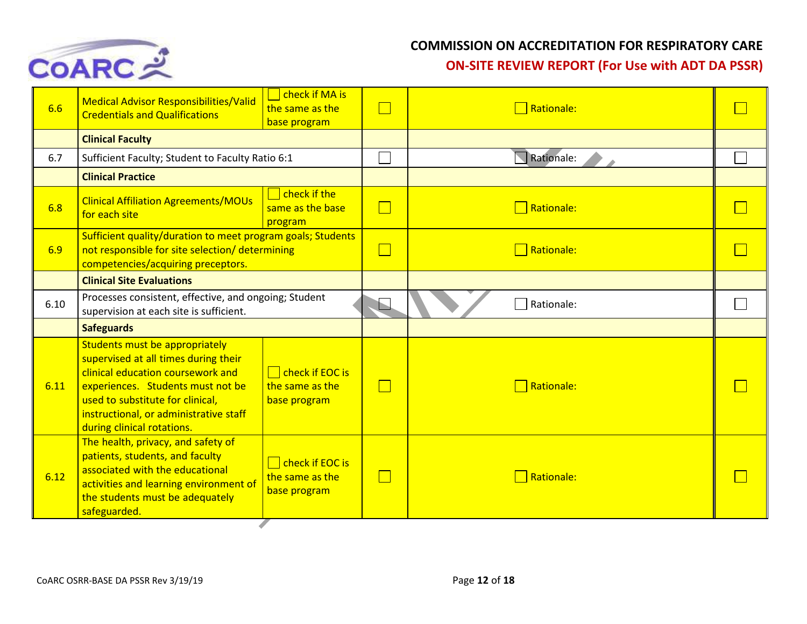

| 6.6  | <b>Medical Advisor Responsibilities/Valid</b><br><b>Credentials and Qualifications</b>                                                                                                                                                                       | check if MA is<br>the same as the<br>base program                           |                | Rationale: |  |
|------|--------------------------------------------------------------------------------------------------------------------------------------------------------------------------------------------------------------------------------------------------------------|-----------------------------------------------------------------------------|----------------|------------|--|
|      | <b>Clinical Faculty</b>                                                                                                                                                                                                                                      |                                                                             |                |            |  |
| 6.7  | Sufficient Faculty; Student to Faculty Ratio 6:1                                                                                                                                                                                                             |                                                                             |                | Rationale: |  |
|      | <b>Clinical Practice</b>                                                                                                                                                                                                                                     |                                                                             |                |            |  |
| 6.8  | <b>Clinical Affiliation Agreements/MOUs</b><br>for each site                                                                                                                                                                                                 | check if the<br>same as the base<br>program                                 | $\mathbb{R}^n$ | Rationale: |  |
| 6.9  | Sufficient quality/duration to meet program goals; Students<br>not responsible for site selection/ determining<br>competencies/acquiring preceptors.                                                                                                         |                                                                             |                | Rationale: |  |
|      | <b>Clinical Site Evaluations</b>                                                                                                                                                                                                                             |                                                                             |                |            |  |
| 6.10 | Processes consistent, effective, and ongoing; Student<br>supervision at each site is sufficient.                                                                                                                                                             |                                                                             |                | Rationale: |  |
|      | <b>Safeguards</b>                                                                                                                                                                                                                                            |                                                                             |                |            |  |
| 6.11 | Students must be appropriately<br>supervised at all times during their<br>clinical education coursework and<br>experiences. Students must not be<br>used to substitute for clinical,<br>instructional, or administrative staff<br>during clinical rotations. | $\Box$ check if EOC is<br>the same as the<br>base program                   |                | Rationale: |  |
| 6.12 | The health, privacy, and safety of<br>patients, students, and faculty<br>associated with the educational<br>activities and learning environment of<br>the students must be adequately<br>safeguarded.                                                        | $\overline{\phantom{a}}$ check if EOC is<br>the same as the<br>base program |                | Rationale: |  |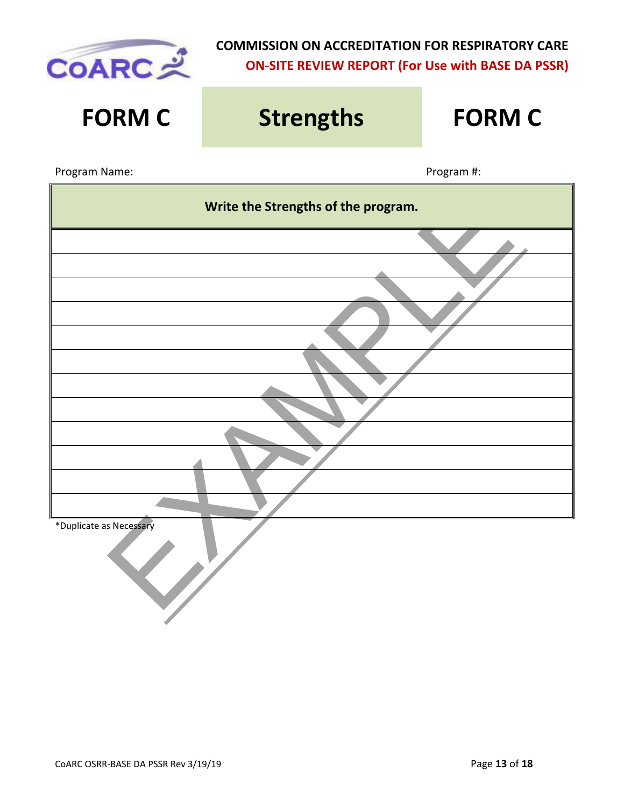

# Write the Strengths of the program.<br>
The contract of the contract of the program.<br>
The contract of the contract of the contract of the contract of the contract of the program.<br>
The contract of the contract of the contract **FORM C Strengths FORM C** Program Name: Name: Program #: Program #: Program #: Program #: Program #: Program #: Program #: Program #: Program #: Program #: Program #: Program #: Program #: Program #: Program #: Program #: Program #: Program #: Prog **Write the Strengths of the program.** \*Duplicate as Necessary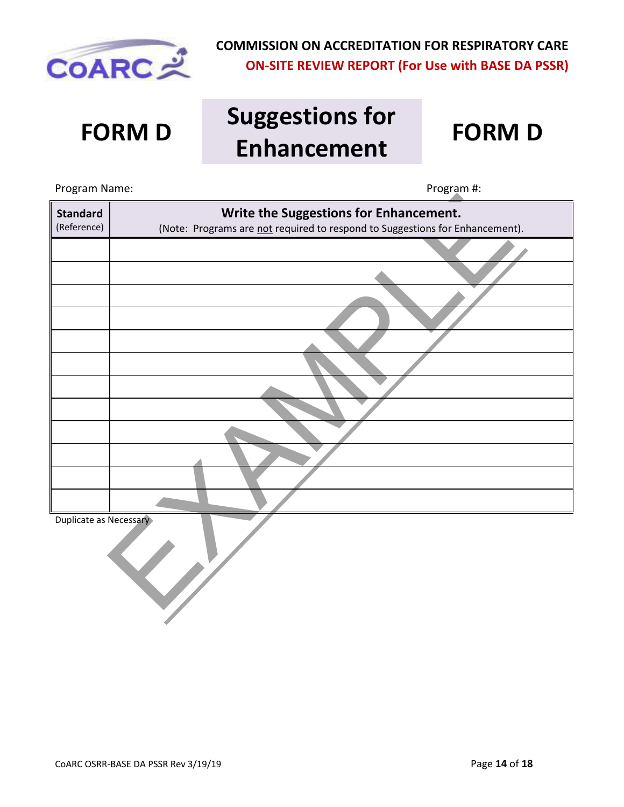

## **FORM D Suggestions for Enhancement FORM D**



Write the Suggestions for Enhancement.<br>(Note: Programs are not required to respond to Suggestions for Enhancement)<br>Necessary Program Name: Name: Program #: Program #: Program #: Program #: Program #: Program #: Program #: Program #: Program #: Program #: Program #: Program #: Program #: Program #: Program #: Program #: Program #: Program #: Prog **Standard** (Reference) **Write the Suggestions for Enhancement.** (Note: Programs are not required to respond to Suggestions for Enhancement). Duplicate as Necessary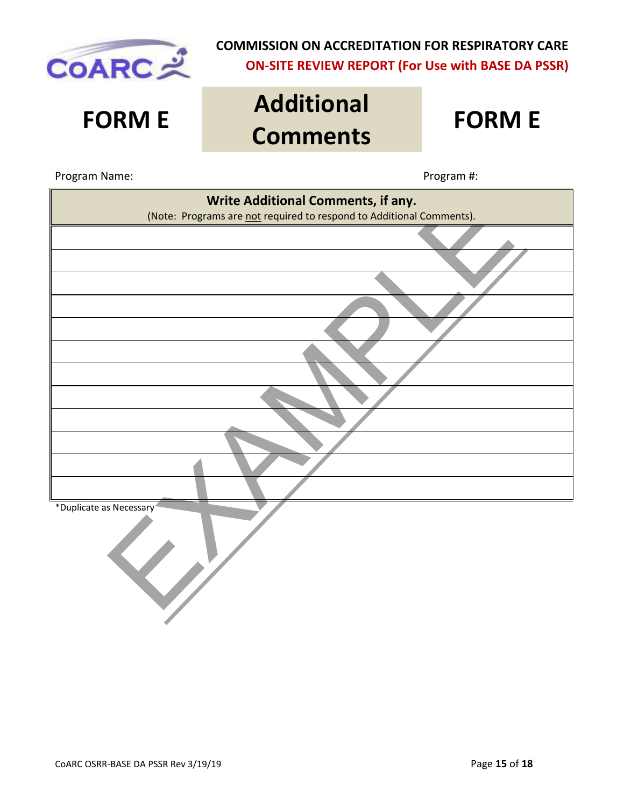

## **FORM E Additional Comments FORM E**

#### Program Name:  $\blacksquare$

| Write Additional Comments, if any.                                   |
|----------------------------------------------------------------------|
| (Note: Programs are not required to respond to Additional Comments). |
|                                                                      |
|                                                                      |
|                                                                      |
|                                                                      |
|                                                                      |
|                                                                      |
|                                                                      |
|                                                                      |
|                                                                      |
|                                                                      |
|                                                                      |
|                                                                      |
| *Duplicate as Necessary <sup>4</sup>                                 |
|                                                                      |
|                                                                      |
|                                                                      |
|                                                                      |
|                                                                      |
|                                                                      |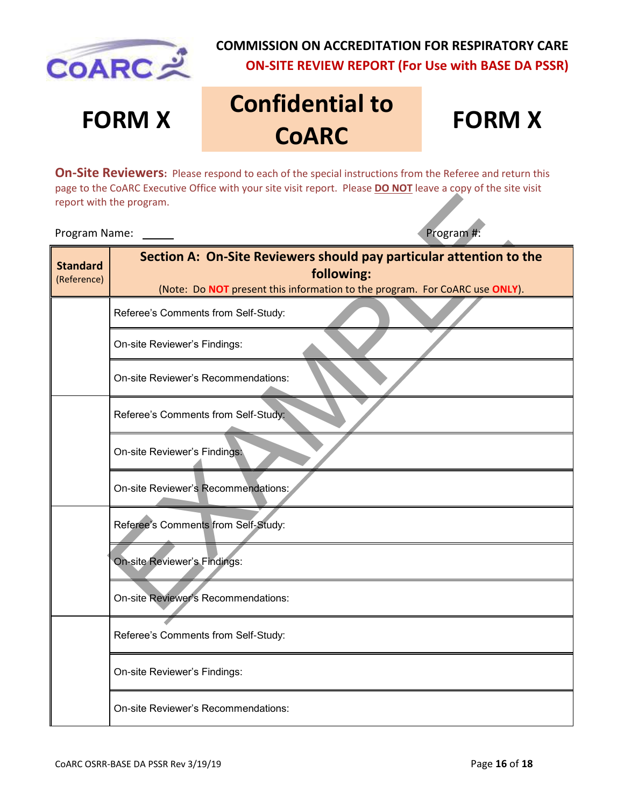

# **FORM X Confidential to COARC**

## **FORM X**

**On-Site Reviewers:** Please respond to each of the special instructions from the Referee and return this page to the CoARC Executive Office with your site visit report. Please **DO NOT** leave a copy of the site visit report with the program.

#### Program Name: Program #:

|                                | report with the program.                                                                                                                                         |  |  |  |
|--------------------------------|------------------------------------------------------------------------------------------------------------------------------------------------------------------|--|--|--|
| Program Name:                  | Program #:                                                                                                                                                       |  |  |  |
| <b>Standard</b><br>(Reference) | Section A: On-Site Reviewers should pay particular attention to the<br>following:<br>(Note: Do NOT present this information to the program. For CoARC use ONLY). |  |  |  |
|                                | Referee's Comments from Self-Study:                                                                                                                              |  |  |  |
|                                | On-site Reviewer's Findings:                                                                                                                                     |  |  |  |
|                                | On-site Reviewer's Recommendations:                                                                                                                              |  |  |  |
|                                | Referee's Comments from Self-Study:                                                                                                                              |  |  |  |
|                                | On-site Reviewer's Findings:                                                                                                                                     |  |  |  |
|                                | On-site Reviewer's Recommendations:                                                                                                                              |  |  |  |
|                                | Referee's Comments from Self-Study:                                                                                                                              |  |  |  |
|                                | On-site Reviewer's Findings:                                                                                                                                     |  |  |  |
|                                | On-site Reviewer's Recommendations:                                                                                                                              |  |  |  |
|                                | Referee's Comments from Self-Study:                                                                                                                              |  |  |  |
|                                | On-site Reviewer's Findings:                                                                                                                                     |  |  |  |
|                                | On-site Reviewer's Recommendations:                                                                                                                              |  |  |  |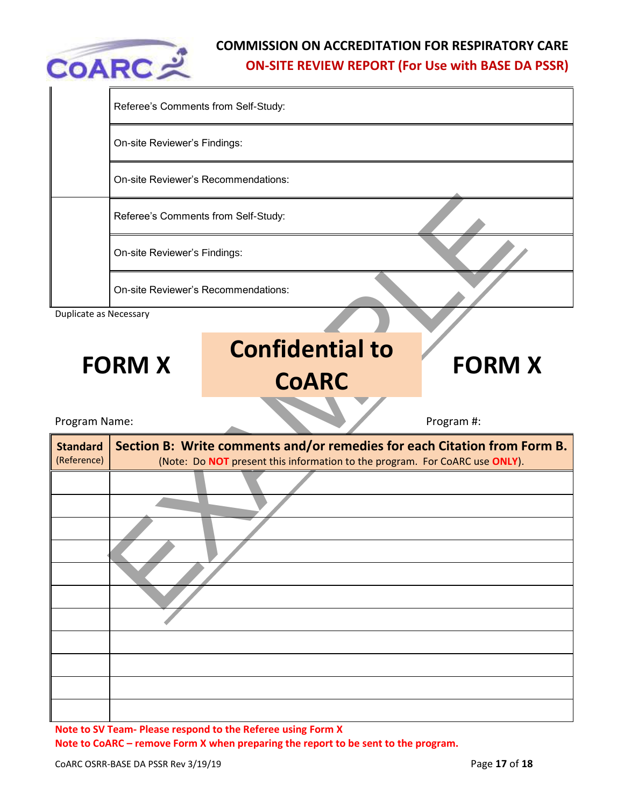

|                                | Referee's Comments from Self-Study: |                                                                                                                                                         |  |               |  |  |
|--------------------------------|-------------------------------------|---------------------------------------------------------------------------------------------------------------------------------------------------------|--|---------------|--|--|
|                                | On-site Reviewer's Findings:        |                                                                                                                                                         |  |               |  |  |
|                                | On-site Reviewer's Recommendations: |                                                                                                                                                         |  |               |  |  |
|                                | Referee's Comments from Self-Study: |                                                                                                                                                         |  |               |  |  |
|                                | On-site Reviewer's Findings:        |                                                                                                                                                         |  |               |  |  |
|                                |                                     | On-site Reviewer's Recommendations:                                                                                                                     |  |               |  |  |
| <b>Duplicate as Necessary</b>  |                                     |                                                                                                                                                         |  |               |  |  |
|                                |                                     | <b>Confidential to</b>                                                                                                                                  |  |               |  |  |
|                                | <b>FORM X</b>                       | <b>CoARC</b>                                                                                                                                            |  | <b>FORM X</b> |  |  |
| Program Name:                  |                                     |                                                                                                                                                         |  | Program #:    |  |  |
| <b>Standard</b><br>(Reference) |                                     | Section B: Write comments and/or remedies for each Citation from Form B.<br>(Note: Do NOT present this information to the program. For CoARC use ONLY). |  |               |  |  |
|                                |                                     |                                                                                                                                                         |  |               |  |  |
|                                |                                     |                                                                                                                                                         |  |               |  |  |
|                                |                                     |                                                                                                                                                         |  |               |  |  |
|                                |                                     |                                                                                                                                                         |  |               |  |  |
|                                |                                     |                                                                                                                                                         |  |               |  |  |
|                                |                                     |                                                                                                                                                         |  |               |  |  |
|                                |                                     |                                                                                                                                                         |  |               |  |  |

**Note to SV Team- Please respond to the Referee using Form X Note to CoARC – remove Form X when preparing the report to be sent to the program.**